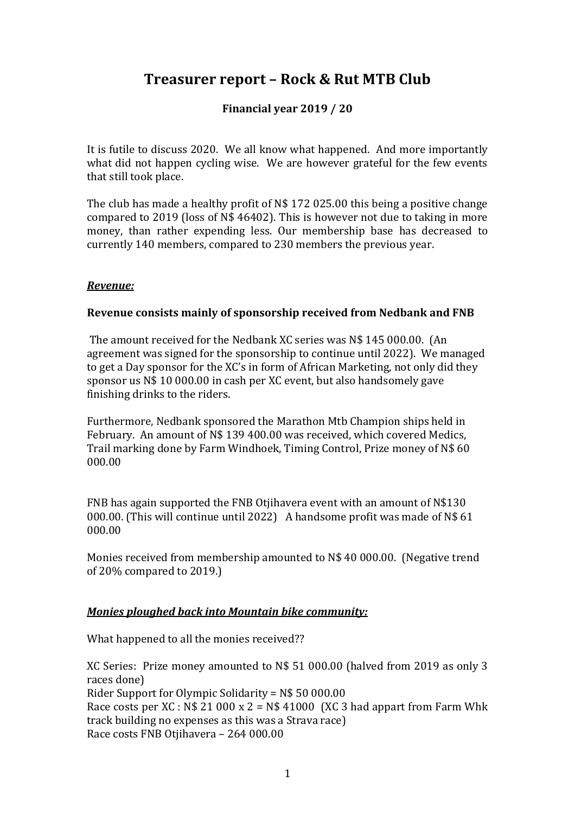# **Treasurer report – Rock & Rut MTB Club**

## **Financial year 2019 / 20**

It is futile to discuss 2020. We all know what happened. And more importantly what did not happen cycling wise. We are however grateful for the few events that still took place.

The club has made a healthy profit of N\$ 172 025.00 this being a positive change compared to 2019 (loss of N\$ 46402). This is however not due to taking in more money, than rather expending less. Our membership base has decreased to currently 140 members, compared to 230 members the previous year.

## *Revenue:*

### **Revenue consists mainly of sponsorship received from Nedbank and FNB**

The amount received for the Nedbank XC series was N\$ 145 000.00. (An agreement was signed for the sponsorship to continue until 2022). We managed to get a Day sponsor for the XC's in form of African Marketing, not only did they sponsor us N\$ 10 000.00 in cash per XC event, but also handsomely gave finishing drinks to the riders.

Furthermore, Nedbank sponsored the Marathon Mtb Champion ships held in February. An amount of N\$ 139 400.00 was received, which covered Medics, Trail marking done by Farm Windhoek, Timing Control, Prize money of N\$ 60 000.00

FNB has again supported the FNB Otjihavera event with an amount of N\$130 000.00. (This will continue until 2022) A handsome profit was made of N\$ 61 000.00

Monies received from membership amounted to N\$ 40 000.00. (Negative trend of 20% compared to 2019.)

### *Monies ploughed back into Mountain bike community:*

What happened to all the monies received??

XC Series: Prize money amounted to N\$ 51 000.00 (halved from 2019 as only 3 races done) Rider Support for Olympic Solidarity = N\$ 50 000.00 Race costs per XC :  $N$ 21 000 x 2 = N$ 41000 (XC 3 had apparent from Farm Whk)$ track building no expenses as this was a Strava race) Race costs FNB Otjihavera – 264 000.00